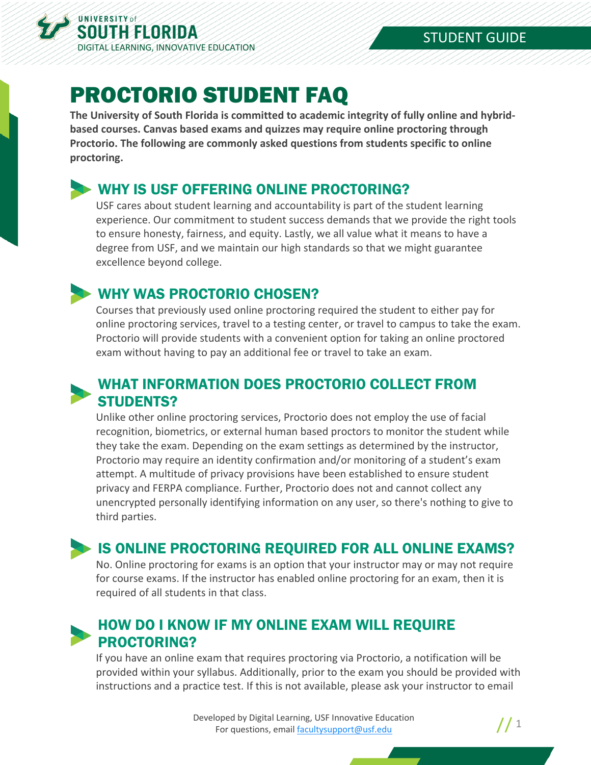

# PROCTORIO STUDENT FAQ

**The University of South Florida is committed to academic integrity of fully online and hybridbased courses. Canvas based exams and quizzes may require online proctoring through Proctorio. The following are commonly asked questions from students specific to online proctoring.**

#### WHY IS USF OFFERING ONLINE PROCTORING?

USF cares about student learning and accountability is part of the student learning experience. Our commitment to student success demands that we provide the right tools to ensure honesty, fairness, and equity. Lastly, we all value what it means to have a degree from USF, and we maintain our high standards so that we might guarantee excellence beyond college.

## WHY WAS PROCTORIO CHOSEN?

Courses that previously used online proctoring required the student to either pay for online proctoring services, travel to a testing center, or travel to campus to take the exam. Proctorio will provide students with a convenient option for taking an online proctored exam without having to pay an additional fee or travel to take an exam.

#### WHAT INFORMATION DOES PROCTORIO COLLECT FROM STUDENTS?

Unlike other online proctoring services, Proctorio does not employ the use of facial recognition, biometrics, or external human based proctors to monitor the student while they take the exam. Depending on the exam settings as determined by the instructor, Proctorio may require an identity confirmation and/or monitoring of a student's exam attempt. A multitude of privacy provisions have been established to ensure student privacy and FERPA compliance. Further, Proctorio does not and cannot collect any unencrypted personally identifying information on any user, so there's nothing to give to third parties.

#### **IS ONLINE PROCTORING REQUIRED FOR ALL ONLINE EXAMS?**

No. Online proctoring for exams is an option that your instructor may or may not require for course exams. If the instructor has enabled online proctoring for an exam, then it is required of all students in that class.

## HOW DO I KNOW IF MY ONLINE EXAM WILL REQUIRE PROCTORING?

If you have an online exam that requires proctoring via Proctorio, a notification will be provided within your syllabus. Additionally, prior to the exam you should be provided with instructions and a practice test. If this is not available, please ask your instructor to email

> Developed by Digital Learning, USF Innovative Education For questions, email facultysupport@usf.edu 1